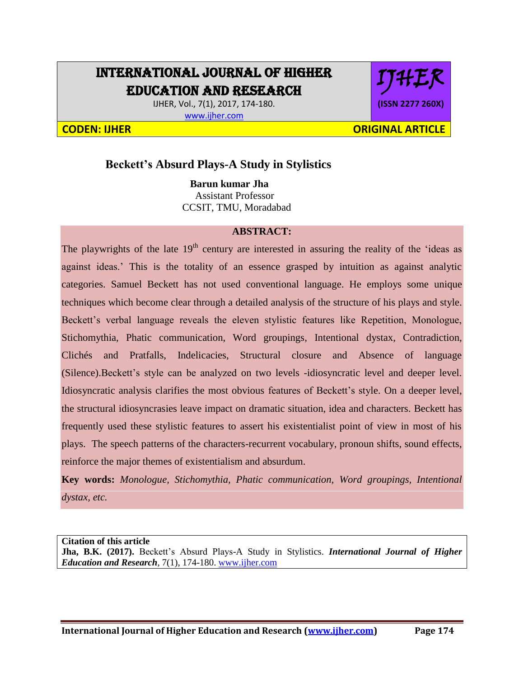## INTERNATIONAL JOURNAL OF HIGHER EDUCATION AND RESEARCH

IJHER, Vol., 7(1), 2017, 174-180. [www.ijher.com](http://www.ijher.com/)

# IJHER **(ISSN 2277 260X)**

**CODEN: IJHER ORIGINAL ARTICLE** 

### **Beckett's Absurd Plays-A Study in Stylistics**

 **Barun kumar Jha** Assistant Professor CCSIT, TMU, Moradabad

#### **ABSTRACT:**

The playwrights of the late  $19<sup>th</sup>$  century are interested in assuring the reality of the 'ideas as against ideas.' This is the totality of an essence grasped by intuition as against analytic categories. Samuel Beckett has not used conventional language. He employs some unique techniques which become clear through a detailed analysis of the structure of his plays and style. Beckett's verbal language reveals the eleven stylistic features like Repetition, Monologue, Stichomythia, Phatic communication, Word groupings, Intentional dystax, Contradiction, Clichés and Pratfalls, Indelicacies, Structural closure and Absence of language (Silence).Beckett's style can be analyzed on two levels -idiosyncratic level and deeper level. Idiosyncratic analysis clarifies the most obvious features of Beckett's style. On a deeper level, the structural idiosyncrasies leave impact on dramatic situation, idea and characters. Beckett has frequently used these stylistic features to assert his existentialist point of view in most of his plays. The speech patterns of the characters-recurrent vocabulary, pronoun shifts, sound effects, reinforce the major themes of existentialism and absurdum.

**Key words:** *Monologue, Stichomythia, Phatic communication, Word groupings, Intentional dystax, etc.*

**Citation of this article Jha, B.K. (2017).** Beckett's Absurd Plays-A Study in Stylistics. *International Journal of Higher Education and Research,* 7(1), 174-180. [www.ijher.com](http://www.ijher.com/)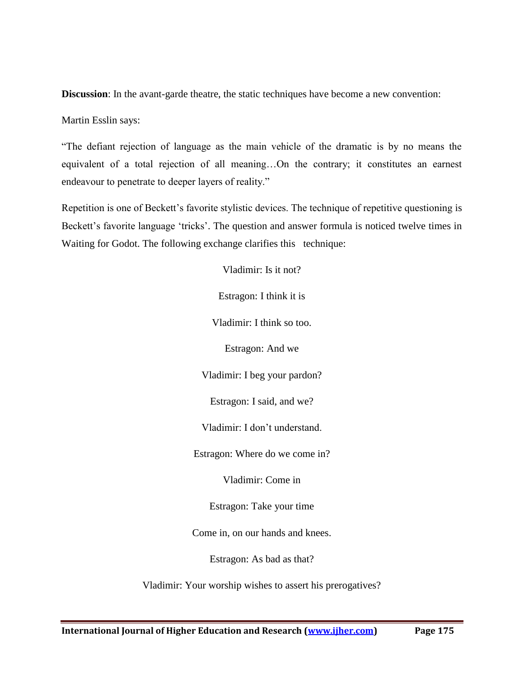**Discussion**: In the avant-garde theatre, the static techniques have become a new convention:

Martin Esslin says:

"The defiant rejection of language as the main vehicle of the dramatic is by no means the equivalent of a total rejection of all meaning…On the contrary; it constitutes an earnest endeavour to penetrate to deeper layers of reality."

Repetition is one of Beckett's favorite stylistic devices. The technique of repetitive questioning is Beckett's favorite language 'tricks'. The question and answer formula is noticed twelve times in Waiting for Godot. The following exchange clarifies this technique:

> Vladimir: Is it not? Estragon: I think it is Vladimir: I think so too. Estragon: And we Vladimir: I beg your pardon? Estragon: I said, and we? Vladimir: I don't understand. Estragon: Where do we come in? Vladimir: Come in Estragon: Take your time Come in, on our hands and knees. Estragon: As bad as that? Vladimir: Your worship wishes to assert his prerogatives?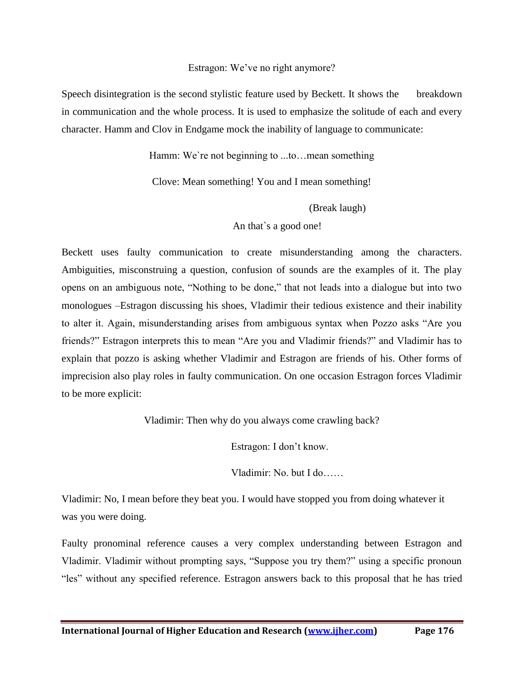#### Estragon: We've no right anymore?

Speech disintegration is the second stylistic feature used by Beckett. It shows the breakdown in communication and the whole process. It is used to emphasize the solitude of each and every character. Hamm and Clov in Endgame mock the inability of language to communicate:

Hamm: We`re not beginning to ...to…mean something

Clove: Mean something! You and I mean something!

(Break laugh)

An that`s a good one!

Beckett uses faulty communication to create misunderstanding among the characters. Ambiguities, misconstruing a question, confusion of sounds are the examples of it. The play opens on an ambiguous note, "Nothing to be done," that not leads into a dialogue but into two monologues –Estragon discussing his shoes, Vladimir their tedious existence and their inability to alter it. Again, misunderstanding arises from ambiguous syntax when Pozzo asks "Are you friends?" Estragon interprets this to mean "Are you and Vladimir friends?" and Vladimir has to explain that pozzo is asking whether Vladimir and Estragon are friends of his. Other forms of imprecision also play roles in faulty communication. On one occasion Estragon forces Vladimir to be more explicit:

Vladimir: Then why do you always come crawling back?

Estragon: I don't know.

Vladimir: No. but I do……

Vladimir: No, I mean before they beat you. I would have stopped you from doing whatever it was you were doing.

Faulty pronominal reference causes a very complex understanding between Estragon and Vladimir. Vladimir without prompting says, "Suppose you try them?" using a specific pronoun "les" without any specified reference. Estragon answers back to this proposal that he has tried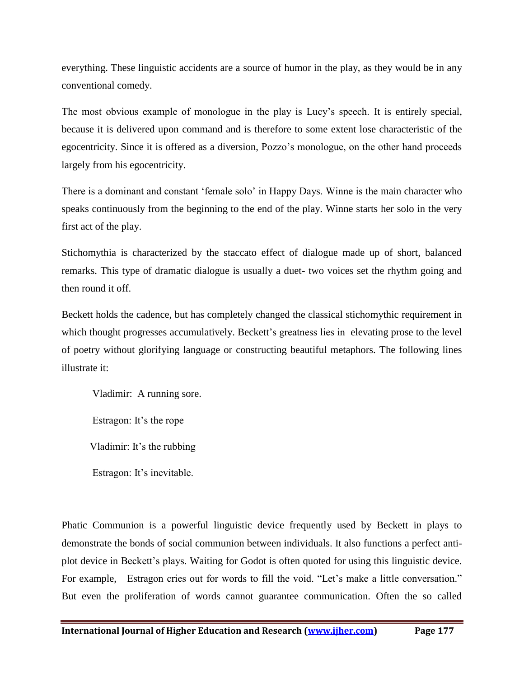everything. These linguistic accidents are a source of humor in the play, as they would be in any conventional comedy.

The most obvious example of monologue in the play is Lucy's speech. It is entirely special, because it is delivered upon command and is therefore to some extent lose characteristic of the egocentricity. Since it is offered as a diversion, Pozzo's monologue, on the other hand proceeds largely from his egocentricity.

There is a dominant and constant 'female solo' in Happy Days. Winne is the main character who speaks continuously from the beginning to the end of the play. Winne starts her solo in the very first act of the play.

Stichomythia is characterized by the staccato effect of dialogue made up of short, balanced remarks. This type of dramatic dialogue is usually a duet- two voices set the rhythm going and then round it off.

Beckett holds the cadence, but has completely changed the classical stichomythic requirement in which thought progresses accumulatively. Beckett's greatness lies in elevating prose to the level of poetry without glorifying language or constructing beautiful metaphors. The following lines illustrate it:

Vladimir: A running sore. Estragon: It's the rope Vladimir: It's the rubbing

Estragon: It's inevitable.

Phatic Communion is a powerful linguistic device frequently used by Beckett in plays to demonstrate the bonds of social communion between individuals. It also functions a perfect antiplot device in Beckett's plays. Waiting for Godot is often quoted for using this linguistic device. For example, Estragon cries out for words to fill the void. "Let's make a little conversation." But even the proliferation of words cannot guarantee communication. Often the so called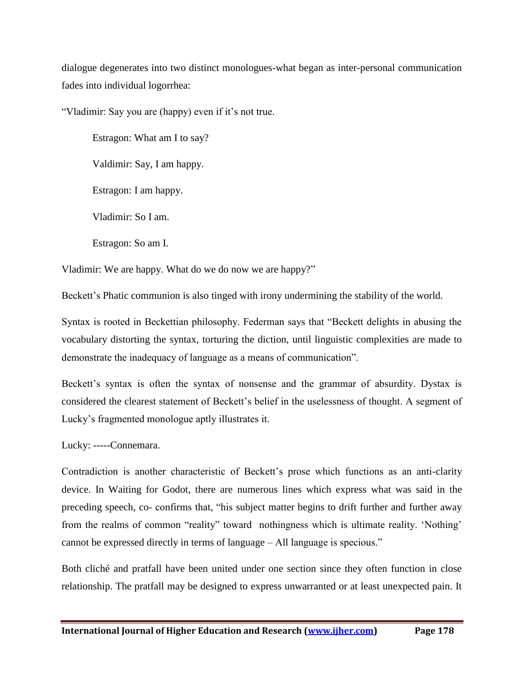dialogue degenerates into two distinct monologues-what began as inter-personal communication fades into individual logorrhea:

"Vladimir: Say you are (happy) even if it's not true.

Estragon: What am I to say?

Valdimir: Say, I am happy.

Estragon: I am happy.

Vladimir: So I am.

Estragon: So am I.

Vladimir: We are happy. What do we do now we are happy?"

Beckett's Phatic communion is also tinged with irony undermining the stability of the world.

Syntax is rooted in Beckettian philosophy. Federman says that "Beckett delights in abusing the vocabulary distorting the syntax, torturing the diction, until linguistic complexities are made to demonstrate the inadequacy of language as a means of communication".

Beckett's syntax is often the syntax of nonsense and the grammar of absurdity. Dystax is considered the clearest statement of Beckett's belief in the uselessness of thought. A segment of Lucky's fragmented monologue aptly illustrates it.

Lucky: -----Connemara.

Contradiction is another characteristic of Beckett's prose which functions as an anti-clarity device. In Waiting for Godot, there are numerous lines which express what was said in the preceding speech, co- confirms that, "his subject matter begins to drift further and further away from the realms of common "reality" toward nothingness which is ultimate reality. 'Nothing' cannot be expressed directly in terms of language – All language is specious."

Both cliché and pratfall have been united under one section since they often function in close relationship. The pratfall may be designed to express unwarranted or at least unexpected pain. It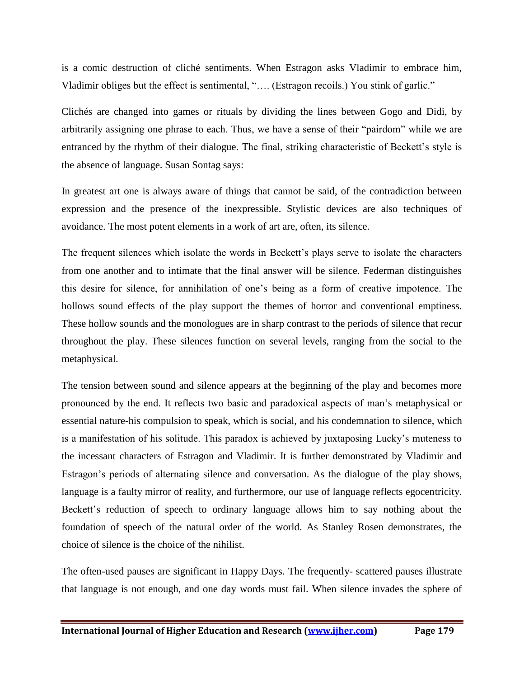is a comic destruction of cliché sentiments. When Estragon asks Vladimir to embrace him, Vladimir obliges but the effect is sentimental, "…. (Estragon recoils.) You stink of garlic."

Clichés are changed into games or rituals by dividing the lines between Gogo and Didi, by arbitrarily assigning one phrase to each. Thus, we have a sense of their "pairdom" while we are entranced by the rhythm of their dialogue. The final, striking characteristic of Beckett's style is the absence of language. Susan Sontag says:

In greatest art one is always aware of things that cannot be said, of the contradiction between expression and the presence of the inexpressible. Stylistic devices are also techniques of avoidance. The most potent elements in a work of art are, often, its silence.

The frequent silences which isolate the words in Beckett's plays serve to isolate the characters from one another and to intimate that the final answer will be silence. Federman distinguishes this desire for silence, for annihilation of one's being as a form of creative impotence. The hollows sound effects of the play support the themes of horror and conventional emptiness. These hollow sounds and the monologues are in sharp contrast to the periods of silence that recur throughout the play. These silences function on several levels, ranging from the social to the metaphysical.

The tension between sound and silence appears at the beginning of the play and becomes more pronounced by the end. It reflects two basic and paradoxical aspects of man's metaphysical or essential nature-his compulsion to speak, which is social, and his condemnation to silence, which is a manifestation of his solitude. This paradox is achieved by juxtaposing Lucky's muteness to the incessant characters of Estragon and Vladimir. It is further demonstrated by Vladimir and Estragon's periods of alternating silence and conversation. As the dialogue of the play shows, language is a faulty mirror of reality, and furthermore, our use of language reflects egocentricity. Beckett's reduction of speech to ordinary language allows him to say nothing about the foundation of speech of the natural order of the world. As Stanley Rosen demonstrates, the choice of silence is the choice of the nihilist.

The often-used pauses are significant in Happy Days. The frequently- scattered pauses illustrate that language is not enough, and one day words must fail. When silence invades the sphere of